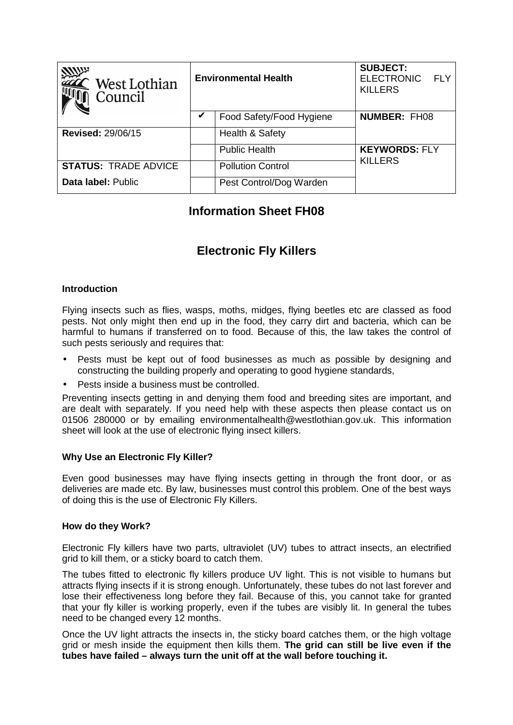| <b>MUP</b><br>West Lothian<br>Council | <b>Environmental Health</b> |                          | <b>SUBJECT:</b><br><b>ELECTRONIC</b><br>FI Y<br><b>KILLERS</b> |
|---------------------------------------|-----------------------------|--------------------------|----------------------------------------------------------------|
|                                       |                             | Food Safety/Food Hygiene | <b>NUMBER: FH08</b>                                            |
| <b>Revised: 29/06/15</b>              |                             | Health & Safety          |                                                                |
|                                       |                             | <b>Public Health</b>     | <b>KEYWORDS: FLY</b>                                           |
| <b>STATUS: TRADE ADVICE</b>           |                             | <b>Pollution Control</b> | <b>KILLERS</b>                                                 |
| Data label: Public                    |                             | Pest Control/Dog Warden  |                                                                |

## **Information Sheet FH08**

# **Electronic Fly Killers**

#### **Introduction**

Flying insects such as flies, wasps, moths, midges, flying beetles etc are classed as food pests. Not only might then end up in the food, they carry dirt and bacteria, which can be harmful to humans if transferred on to food. Because of this, the law takes the control of such pests seriously and requires that:

- Pests must be kept out of food businesses as much as possible by designing and constructing the building properly and operating to good hygiene standards,
- Pests inside a business must be controlled.

Preventing insects getting in and denying them food and breeding sites are important, and are dealt with separately. If you need help with these aspects then please contact us on 01506 280000 or by emailing environmentalhealth@westlothian.gov.uk. This information sheet will look at the use of electronic flying insect killers.

#### **Why Use an Electronic Fly Killer?**

Even good businesses may have flying insects getting in through the front door, or as deliveries are made etc. By law, businesses must control this problem. One of the best ways of doing this is the use of Electronic Fly Killers.

#### **How do they Work?**

Electronic Fly killers have two parts, ultraviolet (UV) tubes to attract insects, an electrified grid to kill them, or a sticky board to catch them.

The tubes fitted to electronic fly killers produce UV light. This is not visible to humans but attracts flying insects if it is strong enough. Unfortunately, these tubes do not last forever and lose their effectiveness long before they fail. Because of this, you cannot take for granted that your fly killer is working properly, even if the tubes are visibly lit. In general the tubes need to be changed every 12 months.

Once the UV light attracts the insects in, the sticky board catches them, or the high voltage grid or mesh inside the equipment then kills them. **The grid can still be live even if the tubes have failed – always turn the unit off at the wall before touching it.**